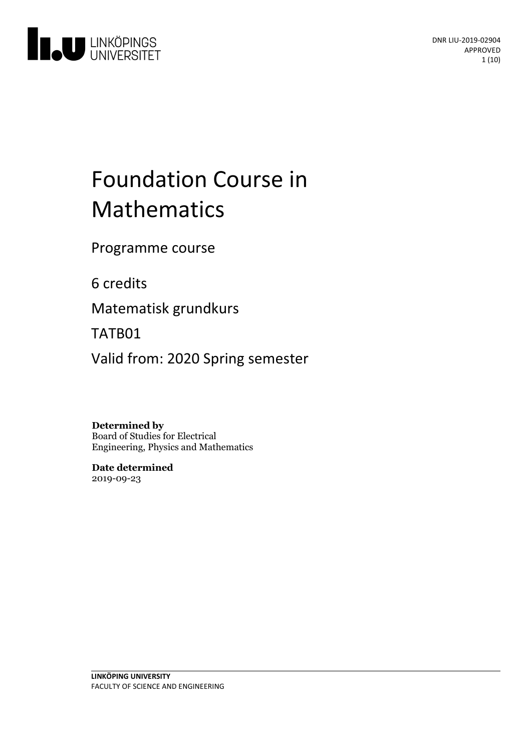

# Foundation Course in Mathematics

Programme course

6 credits

Matematisk grundkurs

TATB01

Valid from: 2020 Spring semester

**Determined by** Board of Studies for Electrical Engineering, Physics and Mathematics

**Date determined** 2019-09-23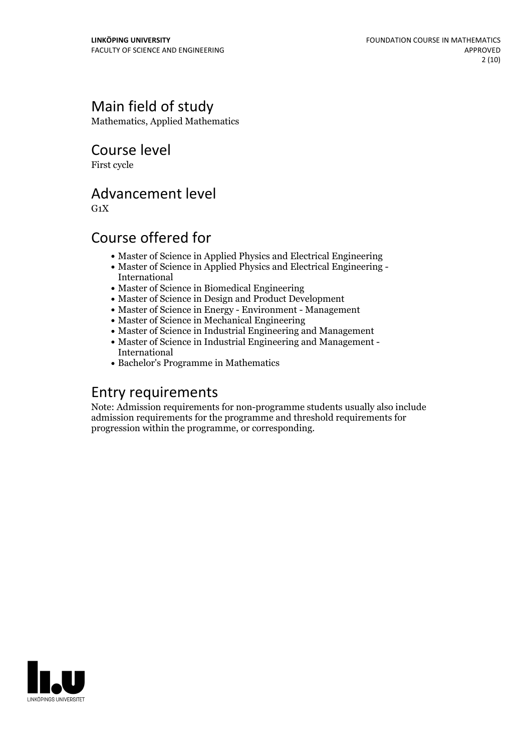# Main field of study

Mathematics, Applied Mathematics

Course level

First cycle

## Advancement level

 $G_1X$ 

# Course offered for

- Master of Science in Applied Physics and Electrical Engineering
- Master of Science in Applied Physics and Electrical Engineering International
- Master of Science in Biomedical Engineering
- Master of Science in Design and Product Development
- Master of Science in Energy Environment Management
- Master of Science in Mechanical Engineering
- Master of Science in Industrial Engineering and Management
- Master of Science in Industrial Engineering and Management International
- Bachelor's Programme in Mathematics

# Entry requirements

Note: Admission requirements for non-programme students usually also include admission requirements for the programme and threshold requirements for progression within the programme, or corresponding.

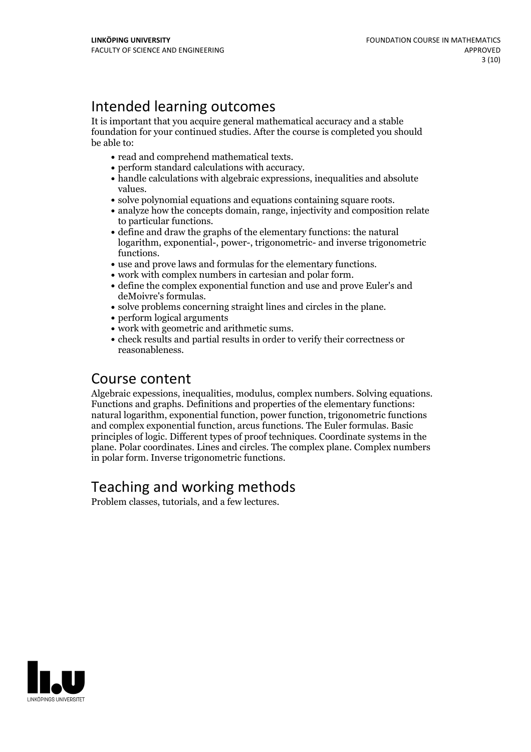# Intended learning outcomes

It is important that you acquire general mathematical accuracy and a stable foundation for your continued studies. After the course is completed you should be able to:

- 
- 
- read and comprehend mathematical texts. perform standard calculations with accuracy. handle calculations with algebraic expressions, inequalities and absolute
- 
- values.<br>• solve polynomial equations and equations containing square roots.<br>• analyze how the concepts domain, range, injectivity and composition relate<br>to particular functions.
- $\bullet$  define and draw the graphs of the elementary functions: the natural logarithm, exponential-, power-, trigonometric- and inverse trigonometric
- <ul>\n<li>use and prove laws and formulas for the elementary functions.</li>\n<li>work with complex numbers in cartesian and polar form.</li>\n<li>define the complex exponential function and use and prove Euler's and</li>\n</ul>
- 
- 
- deMoivre's formulas.<br>• solve problems concerning straight lines and circles in the plane.<br>• perform logical arguments<br>• work with geometric and arithmetic sums.
- 
- 
- check results and partial results in order to verify their correctness or reasonableness.

### Course content

Algebraic expessions, inequalities, modulus, complex numbers. Solving equations. Functions and graphs. Definitions and properties of the elementary functions: natural logarithm, exponential function, power function, trigonometric functions and complex exponential function, arcus functions. The Euler formulas. Basic principles of logic. Different types of proof techniques. Coordinate systems in the plane. Polar coordinates. Lines and circles. The complex plane. Complex numbers in polar form. Inverse trigonometric functions.

### Teaching and working methods

Problem classes, tutorials, and a few lectures.

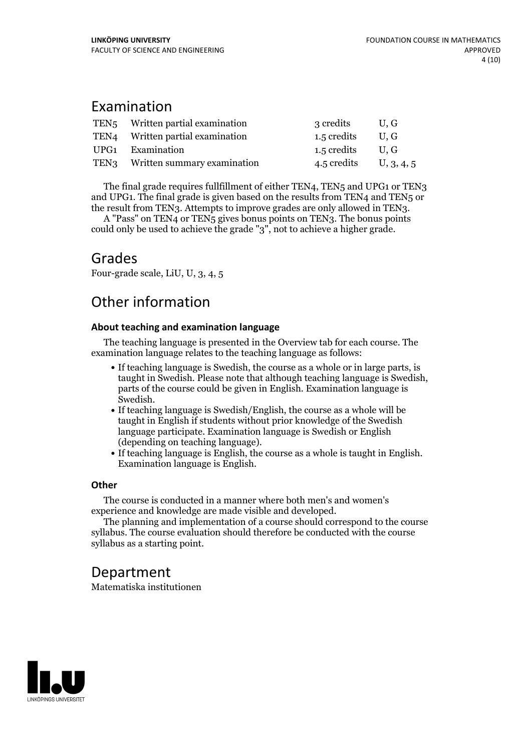### Examination

| TEN <sub>5</sub> Written partial examination | 3 credits              | U.G |
|----------------------------------------------|------------------------|-----|
| TEN4 Written partial examination             | 1.5 credits            | U.G |
| UPG1 Examination                             | 1.5 credits            | U.G |
| TEN3 Written summary examination             | 4.5 credits U, 3, 4, 5 |     |

The final grade requires fullfillment of either TEN4, TEN5 and UPG1 or TEN3 and UPG1. The final grade is given based on the results from TEN4 and TEN5 or the result from TEN3. Attempts to improve grades are only allowed in TEN3.

A "Pass" on TEN4 or TEN5 gives bonus points on TEN3. The bonus points could only be used to achieve the grade "3", not to achieve a higher grade.

### Grades

Four-grade scale, LiU, U, 3, 4, 5

# Other information

#### **About teaching and examination language**

The teaching language is presented in the Overview tab for each course. The examination language relates to the teaching language as follows:

- If teaching language is Swedish, the course as a whole or in large parts, is taught in Swedish. Please note that although teaching language is Swedish, parts of the course could be given in English. Examination language is
- Swedish.<br>• If teaching language is Swedish/English, the course as a whole will be taught in English if students without prior knowledge of the Swedish language participate. Examination language is Swedish or English
- (depending on teaching language).<br>• If teaching language is English, the course as a whole is taught in English.<br>Examination language is English.

#### **Other**

The course is conducted in a manner where both men's and women's

experience and knowledge are made visible and developed. The planning and implementation of <sup>a</sup> course should correspond to the course syllabus. The course evaluation should therefore be conducted with the course syllabus as a starting point.

### Department

Matematiska institutionen

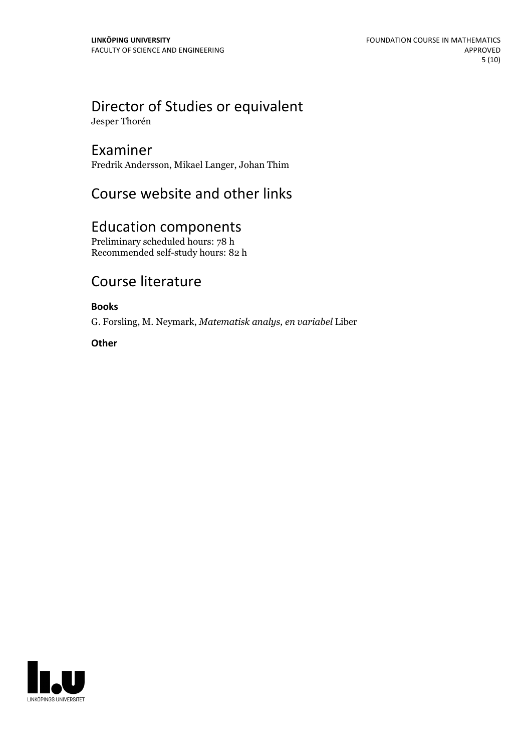# Director of Studies or equivalent

Jesper Thorén

### Examiner

Fredrik Andersson, Mikael Langer, Johan Thim

# Course website and other links

# Education components

Preliminary scheduled hours: 78 h Recommended self-study hours: 82 h

# Course literature

#### **Books**

G. Forsling, M. Neymark, *Matematisk analys, en variabel* Liber

**Other**

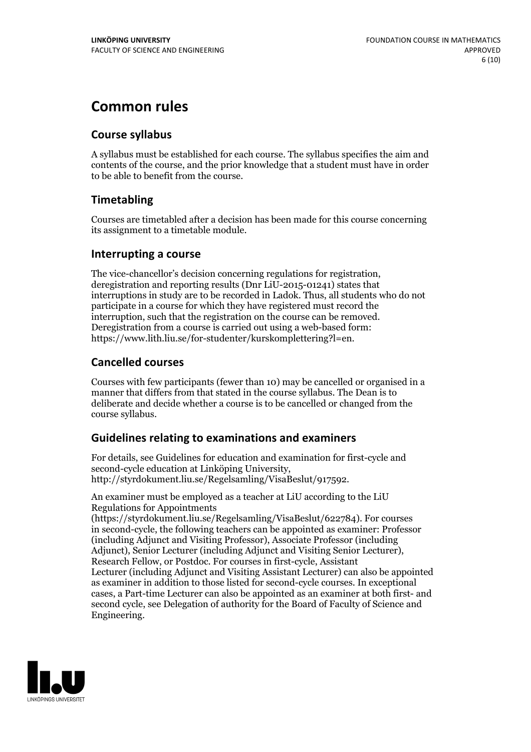# **Common rules**

#### **Course syllabus**

A syllabus must be established for each course. The syllabus specifies the aim and contents of the course, and the prior knowledge that a student must have in order to be able to benefit from the course.

### **Timetabling**

Courses are timetabled after a decision has been made for this course concerning its assignment to a timetable module.

#### **Interrupting a course**

The vice-chancellor's decision concerning regulations for registration, deregistration and reporting results (Dnr LiU-2015-01241) states that interruptions in study are to be recorded in Ladok. Thus, all students who do not participate in a course for which they have registered must record the interruption, such that the registration on the course can be removed. Deregistration from <sup>a</sup> course is carried outusing <sup>a</sup> web-based form: https://www.lith.liu.se/for-studenter/kurskomplettering?l=en.

### **Cancelled courses**

Courses with few participants (fewer than 10) may be cancelled or organised in a manner that differs from that stated in the course syllabus. The Dean is to deliberate and decide whether a course is to be cancelled or changed from the course syllabus.

### **Guidelines relatingto examinations and examiners**

For details, see Guidelines for education and examination for first-cycle and second-cycle education at Linköping University, http://styrdokument.liu.se/Regelsamling/VisaBeslut/917592.

An examiner must be employed as a teacher at LiU according to the LiU Regulations for Appointments

(https://styrdokument.liu.se/Regelsamling/VisaBeslut/622784). For courses in second-cycle, the following teachers can be appointed as examiner: Professor (including Adjunct and Visiting Professor), Associate Professor (including Adjunct), Senior Lecturer (including Adjunct and Visiting Senior Lecturer), Research Fellow, or Postdoc. For courses in first-cycle, Assistant Lecturer (including Adjunct and Visiting Assistant Lecturer) can also be appointed as examiner in addition to those listed for second-cycle courses. In exceptional cases, a Part-time Lecturer can also be appointed as an examiner at both first- and second cycle, see Delegation of authority for the Board of Faculty of Science and Engineering.

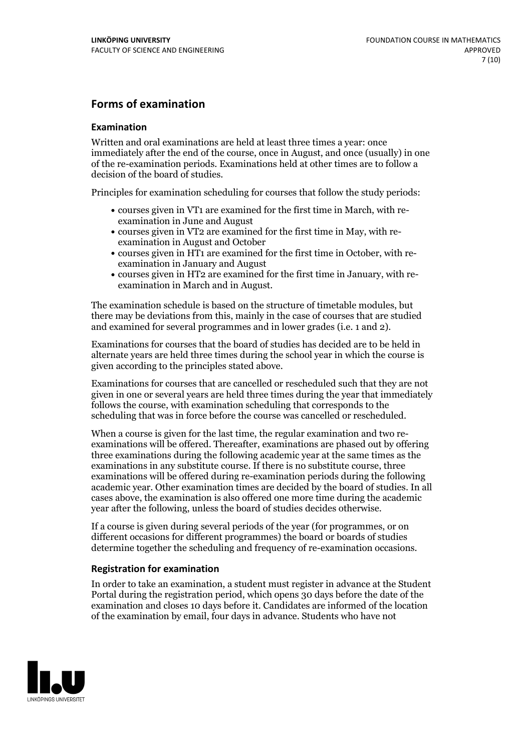#### **Forms of examination**

#### **Examination**

Written and oral examinations are held at least three times a year: once immediately after the end of the course, once in August, and once (usually) in one of the re-examination periods. Examinations held at other times are to follow a decision of the board of studies.

Principles for examination scheduling for courses that follow the study periods:

- courses given in VT1 are examined for the first time in March, with re-examination in June and August
- courses given in VT2 are examined for the first time in May, with re-examination in August and October
- courses given in HT1 are examined for the first time in October, with re-examination in January and August
- courses given in HT2 are examined for the first time in January, with re-examination in March and in August.

The examination schedule is based on the structure of timetable modules, but there may be deviations from this, mainly in the case of courses that are studied and examined for several programmes and in lower grades (i.e. 1 and 2).

Examinations for courses that the board of studies has decided are to be held in alternate years are held three times during the school year in which the course is given according to the principles stated above.

Examinations for courses that are cancelled orrescheduled such that they are not given in one or several years are held three times during the year that immediately follows the course, with examination scheduling that corresponds to the scheduling that was in force before the course was cancelled or rescheduled.

When a course is given for the last time, the regular examination and two re-<br>examinations will be offered. Thereafter, examinations are phased out by offering three examinations during the following academic year at the same times as the examinations in any substitute course. If there is no substitute course, three examinations will be offered during re-examination periods during the following academic year. Other examination times are decided by the board of studies. In all cases above, the examination is also offered one more time during the academic year after the following, unless the board of studies decides otherwise.

If a course is given during several periods of the year (for programmes, or on different occasions for different programmes) the board or boards of studies determine together the scheduling and frequency of re-examination occasions.

#### **Registration for examination**

In order to take an examination, a student must register in advance at the Student Portal during the registration period, which opens 30 days before the date of the examination and closes 10 days before it. Candidates are informed of the location of the examination by email, four days in advance. Students who have not

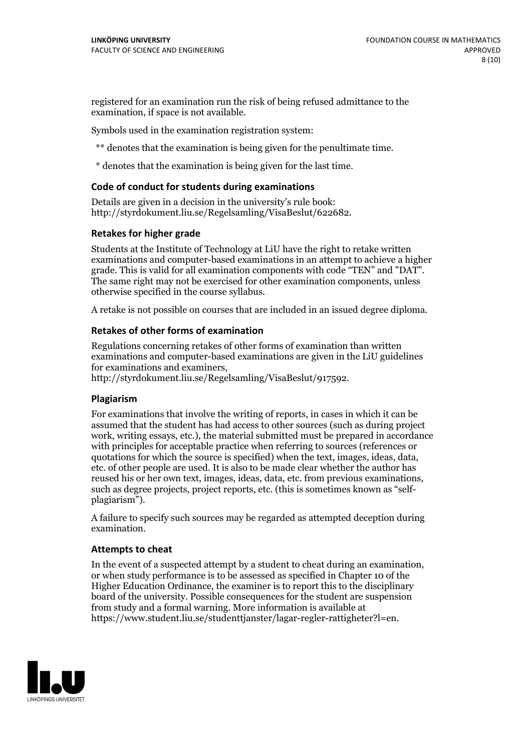registered for an examination run the risk of being refused admittance to the examination, if space is not available.

Symbols used in the examination registration system:

\*\* denotes that the examination is being given for the penultimate time.

\* denotes that the examination is being given for the last time.

#### **Code of conduct for students during examinations**

Details are given in a decision in the university's rule book: http://styrdokument.liu.se/Regelsamling/VisaBeslut/622682.

#### **Retakes for higher grade**

Students at the Institute of Technology at LiU have the right to retake written examinations and computer-based examinations in an attempt to achieve a higher grade. This is valid for all examination components with code "TEN" and "DAT". The same right may not be exercised for other examination components, unless otherwise specified in the course syllabus.

A retake is not possible on courses that are included in an issued degree diploma.

#### **Retakes of other forms of examination**

Regulations concerning retakes of other forms of examination than written examinations and computer-based examinations are given in the LiU guidelines

http://styrdokument.liu.se/Regelsamling/VisaBeslut/917592.

#### **Plagiarism**

For examinations that involve the writing of reports, in cases in which it can be assumed that the student has had access to other sources (such as during project work, writing essays, etc.), the material submitted must be prepared in accordance with principles for acceptable practice when referring to sources (references or quotations for which the source is specified) when the text, images, ideas, data,  $\vec{e}$  etc. of other people are used. It is also to be made clear whether the author has reused his or her own text, images, ideas, data, etc. from previous examinations, such as degree projects, project reports, etc. (this is sometimes known as "self- plagiarism").

A failure to specify such sources may be regarded as attempted deception during examination.

#### **Attempts to cheat**

In the event of <sup>a</sup> suspected attempt by <sup>a</sup> student to cheat during an examination, or when study performance is to be assessed as specified in Chapter <sup>10</sup> of the Higher Education Ordinance, the examiner is to report this to the disciplinary board of the university. Possible consequences for the student are suspension from study and a formal warning. More information is available at https://www.student.liu.se/studenttjanster/lagar-regler-rattigheter?l=en.

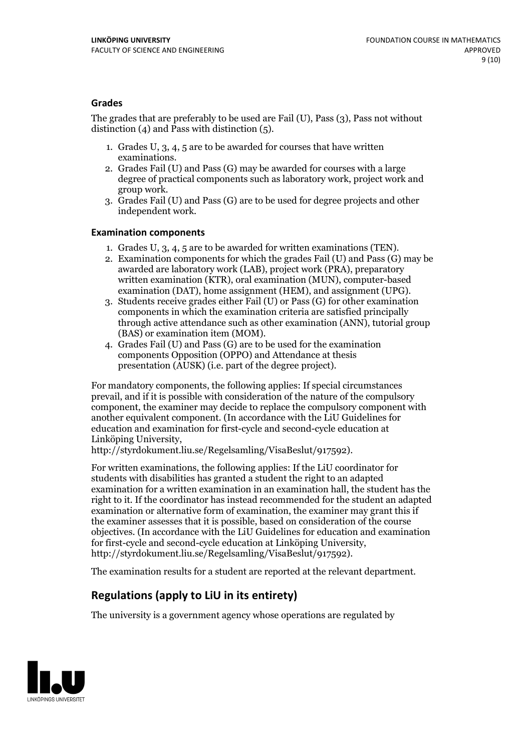#### **Grades**

The grades that are preferably to be used are Fail (U), Pass (3), Pass not without distinction  $(4)$  and Pass with distinction  $(5)$ .

- 1. Grades U, 3, 4, 5 are to be awarded for courses that have written
- examinations. 2. Grades Fail (U) and Pass (G) may be awarded for courses with <sup>a</sup> large degree of practical components such as laboratory work, project work and group work. 3. Grades Fail (U) and Pass (G) are to be used for degree projects and other
- independent work.

#### **Examination components**

- 
- 1. Grades U, 3, 4, <sup>5</sup> are to be awarded for written examinations (TEN). 2. Examination components for which the grades Fail (U) and Pass (G) may be awarded are laboratory work (LAB), project work (PRA), preparatory written examination (KTR), oral examination (MUN), computer-based
- examination (DAT), home assignment (HEM), and assignment (UPG). 3. Students receive grades either Fail (U) or Pass (G) for other examination components in which the examination criteria are satisfied principally through active attendance such as other examination (ANN), tutorial group (BAS) or examination item (MOM). 4. Grades Fail (U) and Pass (G) are to be used for the examination
- components Opposition (OPPO) and Attendance at thesis presentation (AUSK) (i.e. part of the degree project).

For mandatory components, the following applies: If special circumstances prevail, and if it is possible with consideration of the nature of the compulsory component, the examiner may decide to replace the compulsory component with another equivalent component. (In accordance with the LiU Guidelines for education and examination for first-cycle and second-cycle education at Linköping University, http://styrdokument.liu.se/Regelsamling/VisaBeslut/917592).

For written examinations, the following applies: If the LiU coordinator for students with disabilities has granted a student the right to an adapted examination for a written examination in an examination hall, the student has the right to it. If the coordinator has instead recommended for the student an adapted examination or alternative form of examination, the examiner may grant this if the examiner assesses that it is possible, based on consideration of the course objectives. (In accordance with the LiU Guidelines for education and examination for first-cycle and second-cycle education at Linköping University, http://styrdokument.liu.se/Regelsamling/VisaBeslut/917592).

The examination results for a student are reported at the relevant department.

### **Regulations (applyto LiU in its entirety)**

The university is a government agency whose operations are regulated by